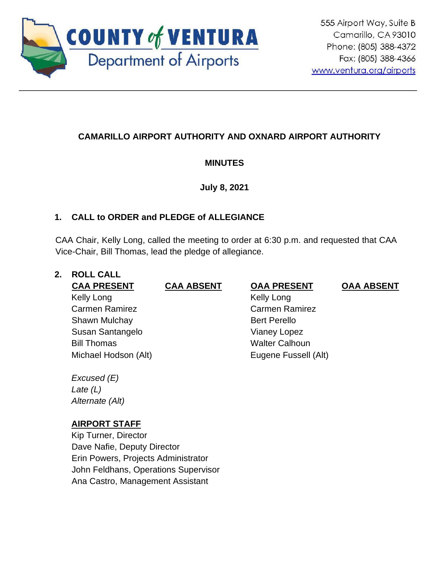

# **CAMARILLO AIRPORT AUTHORITY AND OXNARD AIRPORT AUTHORITY**

### **MINUTES**

**July 8, 2021**

### **1. CALL to ORDER and PLEDGE of ALLEGIANCE**

CAA Chair, Kelly Long, called the meeting to order at 6:30 p.m. and requested that CAA Vice-Chair, Bill Thomas, lead the pledge of allegiance.

# **2. ROLL CALL**

Kelly Long Carmen Ramirez Shawn Mulchay Susan Santangelo Bill Thomas **Walter Calhoun** Michael Hodson (Alt) Eugene Fussell (Alt)

*Excused (E) Late (L) Alternate (Alt)*

### **AIRPORT STAFF**

Kip Turner, Director Dave Nafie, Deputy Director Erin Powers, Projects Administrator John Feldhans, Operations Supervisor Ana Castro, Management Assistant

**CAA PRESENT CAA ABSENT OAA PRESENT OAA ABSENT** Kelly Long Carmen Ramirez Bert Perello Vianey Lopez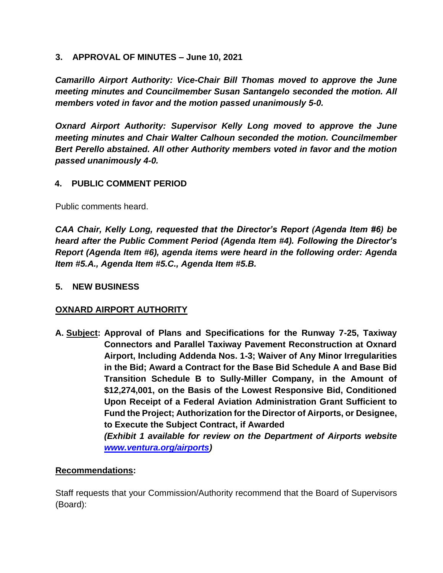#### **3. APPROVAL OF MINUTES – June 10, 2021**

*Camarillo Airport Authority: Vice-Chair Bill Thomas moved to approve the June meeting minutes and Councilmember Susan Santangelo seconded the motion. All members voted in favor and the motion passed unanimously 5-0.*

*Oxnard Airport Authority: Supervisor Kelly Long moved to approve the June meeting minutes and Chair Walter Calhoun seconded the motion. Councilmember Bert Perello abstained. All other Authority members voted in favor and the motion passed unanimously 4-0.*

### **4. PUBLIC COMMENT PERIOD**

Public comments heard.

*CAA Chair, Kelly Long, requested that the Director's Report (Agenda Item #6) be heard after the Public Comment Period (Agenda Item #4). Following the Director's Report (Agenda Item #6), agenda items were heard in the following order: Agenda Item #5.A., Agenda Item #5.C., Agenda Item #5.B.* 

### **5. NEW BUSINESS**

### **OXNARD AIRPORT AUTHORITY**

**A. Subject: Approval of Plans and Specifications for the Runway 7-25, Taxiway Connectors and Parallel Taxiway Pavement Reconstruction at Oxnard Airport, Including Addenda Nos. 1-3; Waiver of Any Minor Irregularities in the Bid; Award a Contract for the Base Bid Schedule A and Base Bid Transition Schedule B to Sully-Miller Company, in the Amount of \$12,274,001, on the Basis of the Lowest Responsive Bid, Conditioned Upon Receipt of a Federal Aviation Administration Grant Sufficient to Fund the Project; Authorization for the Director of Airports, or Designee, to Execute the Subject Contract, if Awarded** *(Exhibit 1 available for review on the Department of Airports website [www.ventura.org/airports\)](http://www.ventura.org/airports)* 

### **Recommendations:**

Staff requests that your Commission/Authority recommend that the Board of Supervisors (Board):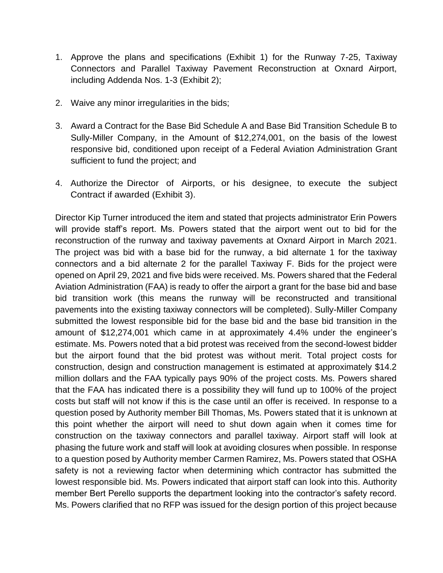- 1. Approve the plans and specifications (Exhibit 1) for the Runway 7-25, Taxiway Connectors and Parallel Taxiway Pavement Reconstruction at Oxnard Airport, including Addenda Nos. 1-3 (Exhibit 2);
- 2. Waive any minor irregularities in the bids;
- 3. Award a Contract for the Base Bid Schedule A and Base Bid Transition Schedule B to Sully-Miller Company, in the Amount of \$12,274,001, on the basis of the lowest responsive bid, conditioned upon receipt of a Federal Aviation Administration Grant sufficient to fund the project; and
- 4. Authorize the Director of Airports, or his designee, to execute the subject Contract if awarded (Exhibit 3).

Director Kip Turner introduced the item and stated that projects administrator Erin Powers will provide staff's report. Ms. Powers stated that the airport went out to bid for the reconstruction of the runway and taxiway pavements at Oxnard Airport in March 2021. The project was bid with a base bid for the runway, a bid alternate 1 for the taxiway connectors and a bid alternate 2 for the parallel Taxiway F. Bids for the project were opened on April 29, 2021 and five bids were received. Ms. Powers shared that the Federal Aviation Administration (FAA) is ready to offer the airport a grant for the base bid and base bid transition work (this means the runway will be reconstructed and transitional pavements into the existing taxiway connectors will be completed). Sully-Miller Company submitted the lowest responsible bid for the base bid and the base bid transition in the amount of \$12,274,001 which came in at approximately 4.4% under the engineer's estimate. Ms. Powers noted that a bid protest was received from the second-lowest bidder but the airport found that the bid protest was without merit. Total project costs for construction, design and construction management is estimated at approximately \$14.2 million dollars and the FAA typically pays 90% of the project costs. Ms. Powers shared that the FAA has indicated there is a possibility they will fund up to 100% of the project costs but staff will not know if this is the case until an offer is received. In response to a question posed by Authority member Bill Thomas, Ms. Powers stated that it is unknown at this point whether the airport will need to shut down again when it comes time for construction on the taxiway connectors and parallel taxiway. Airport staff will look at phasing the future work and staff will look at avoiding closures when possible. In response to a question posed by Authority member Carmen Ramirez, Ms. Powers stated that OSHA safety is not a reviewing factor when determining which contractor has submitted the lowest responsible bid. Ms. Powers indicated that airport staff can look into this. Authority member Bert Perello supports the department looking into the contractor's safety record. Ms. Powers clarified that no RFP was issued for the design portion of this project because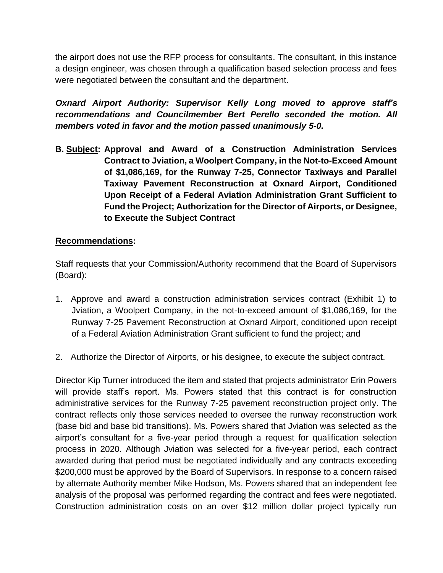the airport does not use the RFP process for consultants. The consultant, in this instance a design engineer, was chosen through a qualification based selection process and fees were negotiated between the consultant and the department.

*Oxnard Airport Authority: Supervisor Kelly Long moved to approve staff's recommendations and Councilmember Bert Perello seconded the motion. All members voted in favor and the motion passed unanimously 5-0.*

**B. Subject: Approval and Award of a Construction Administration Services Contract to Jviation, a Woolpert Company, in the Not-to-Exceed Amount of \$1,086,169, for the Runway 7-25, Connector Taxiways and Parallel Taxiway Pavement Reconstruction at Oxnard Airport, Conditioned Upon Receipt of a Federal Aviation Administration Grant Sufficient to Fund the Project; Authorization for the Director of Airports, or Designee, to Execute the Subject Contract**

### **Recommendations:**

Staff requests that your Commission/Authority recommend that the Board of Supervisors (Board):

- 1. Approve and award a construction administration services contract (Exhibit 1) to Jviation, a Woolpert Company, in the not-to-exceed amount of \$1,086,169, for the Runway 7-25 Pavement Reconstruction at Oxnard Airport, conditioned upon receipt of a Federal Aviation Administration Grant sufficient to fund the project; and
- 2. Authorize the Director of Airports, or his designee, to execute the subject contract.

Director Kip Turner introduced the item and stated that projects administrator Erin Powers will provide staff's report. Ms. Powers stated that this contract is for construction administrative services for the Runway 7-25 pavement reconstruction project only. The contract reflects only those services needed to oversee the runway reconstruction work (base bid and base bid transitions). Ms. Powers shared that Jviation was selected as the airport's consultant for a five-year period through a request for qualification selection process in 2020. Although Jviation was selected for a five-year period, each contract awarded during that period must be negotiated individually and any contracts exceeding \$200,000 must be approved by the Board of Supervisors. In response to a concern raised by alternate Authority member Mike Hodson, Ms. Powers shared that an independent fee analysis of the proposal was performed regarding the contract and fees were negotiated. Construction administration costs on an over \$12 million dollar project typically run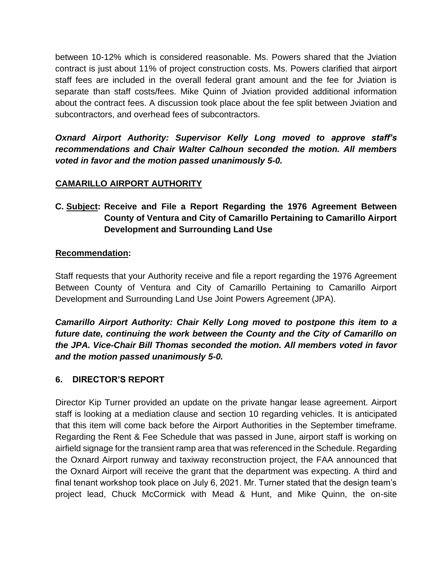between 10-12% which is considered reasonable. Ms. Powers shared that the Jviation contract is just about 11% of project construction costs. Ms. Powers clarified that airport staff fees are included in the overall federal grant amount and the fee for Jviation is separate than staff costs/fees. Mike Quinn of Jviation provided additional information about the contract fees. A discussion took place about the fee split between Jviation and subcontractors, and overhead fees of subcontractors.

*Oxnard Airport Authority: Supervisor Kelly Long moved to approve staff's recommendations and Chair Walter Calhoun seconded the motion. All members voted in favor and the motion passed unanimously 5-0.*

### **CAMARILLO AIRPORT AUTHORITY**

# **C. Subject: Receive and File a Report Regarding the 1976 Agreement Between County of Ventura and City of Camarillo Pertaining to Camarillo Airport Development and Surrounding Land Use**

### **Recommendation:**

Staff requests that your Authority receive and file a report regarding the 1976 Agreement Between County of Ventura and City of Camarillo Pertaining to Camarillo Airport Development and Surrounding Land Use Joint Powers Agreement (JPA).

*Camarillo Airport Authority: Chair Kelly Long moved to postpone this item to a future date, continuing the work between the County and the City of Camarillo on the JPA. Vice-Chair Bill Thomas seconded the motion. All members voted in favor and the motion passed unanimously 5-0.* 

### **6. DIRECTOR'S REPORT**

Director Kip Turner provided an update on the private hangar lease agreement. Airport staff is looking at a mediation clause and section 10 regarding vehicles. It is anticipated that this item will come back before the Airport Authorities in the September timeframe. Regarding the Rent & Fee Schedule that was passed in June, airport staff is working on airfield signage for the transient ramp area that was referenced in the Schedule. Regarding the Oxnard Airport runway and taxiway reconstruction project, the FAA announced that the Oxnard Airport will receive the grant that the department was expecting. A third and final tenant workshop took place on July 6, 2021. Mr. Turner stated that the design team's project lead, Chuck McCormick with Mead & Hunt, and Mike Quinn, the on-site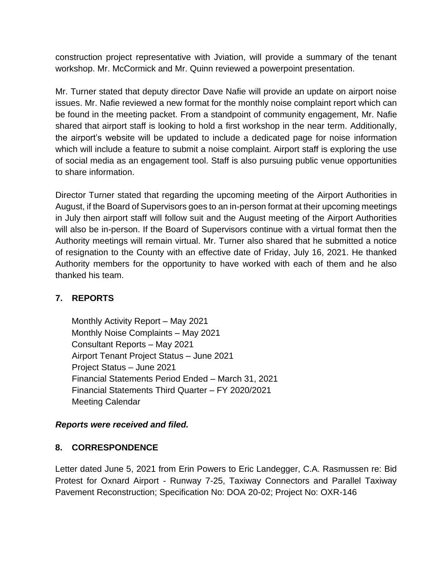construction project representative with Jviation, will provide a summary of the tenant workshop. Mr. McCormick and Mr. Quinn reviewed a powerpoint presentation.

Mr. Turner stated that deputy director Dave Nafie will provide an update on airport noise issues. Mr. Nafie reviewed a new format for the monthly noise complaint report which can be found in the meeting packet. From a standpoint of community engagement, Mr. Nafie shared that airport staff is looking to hold a first workshop in the near term. Additionally, the airport's website will be updated to include a dedicated page for noise information which will include a feature to submit a noise complaint. Airport staff is exploring the use of social media as an engagement tool. Staff is also pursuing public venue opportunities to share information.

Director Turner stated that regarding the upcoming meeting of the Airport Authorities in August, if the Board of Supervisors goes to an in-person format at their upcoming meetings in July then airport staff will follow suit and the August meeting of the Airport Authorities will also be in-person. If the Board of Supervisors continue with a virtual format then the Authority meetings will remain virtual. Mr. Turner also shared that he submitted a notice of resignation to the County with an effective date of Friday, July 16, 2021. He thanked Authority members for the opportunity to have worked with each of them and he also thanked his team.

# **7. REPORTS**

Monthly Activity Report – May 2021 Monthly Noise Complaints – May 2021 Consultant Reports – May 2021 Airport Tenant Project Status – June 2021 Project Status – June 2021 Financial Statements Period Ended – March 31, 2021 Financial Statements Third Quarter – FY 2020/2021 Meeting Calendar

### *Reports were received and filed.*

### **8. CORRESPONDENCE**

Letter dated June 5, 2021 from Erin Powers to Eric Landegger, C.A. Rasmussen re: Bid Protest for Oxnard Airport - Runway 7-25, Taxiway Connectors and Parallel Taxiway Pavement Reconstruction; Specification No: DOA 20-02; Project No: OXR-146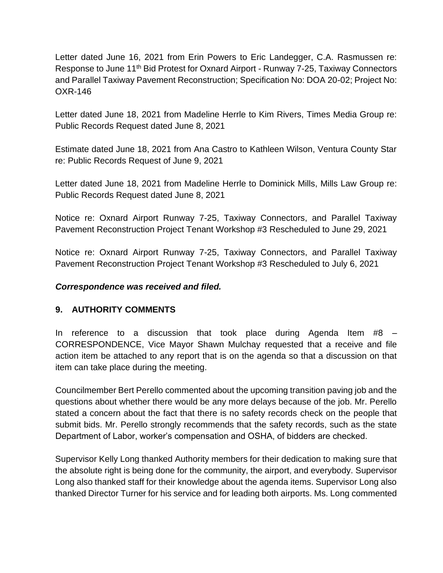Letter dated June 16, 2021 from Erin Powers to Eric Landegger, C.A. Rasmussen re: Response to June 11<sup>th</sup> Bid Protest for Oxnard Airport - Runway 7-25, Taxiway Connectors and Parallel Taxiway Pavement Reconstruction; Specification No: DOA 20-02; Project No: OXR-146

Letter dated June 18, 2021 from Madeline Herrle to Kim Rivers, Times Media Group re: Public Records Request dated June 8, 2021

Estimate dated June 18, 2021 from Ana Castro to Kathleen Wilson, Ventura County Star re: Public Records Request of June 9, 2021

Letter dated June 18, 2021 from Madeline Herrle to Dominick Mills, Mills Law Group re: Public Records Request dated June 8, 2021

Notice re: Oxnard Airport Runway 7-25, Taxiway Connectors, and Parallel Taxiway Pavement Reconstruction Project Tenant Workshop #3 Rescheduled to June 29, 2021

Notice re: Oxnard Airport Runway 7-25, Taxiway Connectors, and Parallel Taxiway Pavement Reconstruction Project Tenant Workshop #3 Rescheduled to July 6, 2021

### *Correspondence was received and filed.*

### **9. AUTHORITY COMMENTS**

In reference to a discussion that took place during Agenda Item #8 – CORRESPONDENCE, Vice Mayor Shawn Mulchay requested that a receive and file action item be attached to any report that is on the agenda so that a discussion on that item can take place during the meeting.

Councilmember Bert Perello commented about the upcoming transition paving job and the questions about whether there would be any more delays because of the job. Mr. Perello stated a concern about the fact that there is no safety records check on the people that submit bids. Mr. Perello strongly recommends that the safety records, such as the state Department of Labor, worker's compensation and OSHA, of bidders are checked.

Supervisor Kelly Long thanked Authority members for their dedication to making sure that the absolute right is being done for the community, the airport, and everybody. Supervisor Long also thanked staff for their knowledge about the agenda items. Supervisor Long also thanked Director Turner for his service and for leading both airports. Ms. Long commented